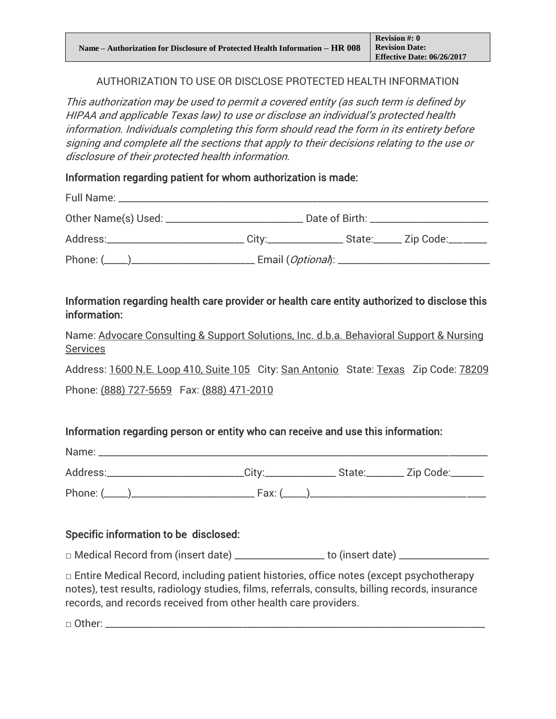### AUTHORIZATION TO USE OR DISCLOSE PROTECTED HEALTH INFORMATION

This authorization may be used to permit a covered entity (as such term is defined by HIPAA and applicable Texas law) to use or disclose an individual's protected health information. Individuals completing this form should read the form in its entirety before signing and complete all the sections that apply to their decisions relating to the use or disclosure of their protected health information.

Information regarding patient for whom authorization is made:

| Full Name: _________________                                                                        |                                                         |                                      |  |
|-----------------------------------------------------------------------------------------------------|---------------------------------------------------------|--------------------------------------|--|
|                                                                                                     |                                                         | Date of Birth: _____________________ |  |
| Address:_________________________________City:______________________________Zip Code:______________ |                                                         |                                      |  |
|                                                                                                     | . Email ( <i>Optional</i> ): __________________________ |                                      |  |

# Information regarding health care provider or health care entity authorized to disclose this information:

Name: Advocare Consulting & Support Solutions, Inc. d.b.a. Behavioral Support & Nursing **Services** 

Address: 1600 N.E. Loop 410, Suite 105 City: San Antonio State: Texas Zip Code: 78209 Phone: (888) 727-5659 Fax: (888) 471-2010

# Information regarding person or entity who can receive and use this information:

| Name:      |        |  |  |
|------------|--------|--|--|
| Address:   |        |  |  |
| Phone: $($ | Fax: ( |  |  |

# Specific information to be disclosed:

□ Medical Record from (insert date) \_\_\_\_\_\_\_\_\_\_\_\_\_\_\_\_\_\_ to (insert date) \_\_\_\_\_\_\_\_\_\_\_\_\_\_

 $\Box$  Entire Medical Record, including patient histories, office notes (except psychotherapy notes), test results, radiology studies, films, referrals, consults, billing records, insurance records, and records received from other health care providers.

 $\Box$  Other:  $\_\_$